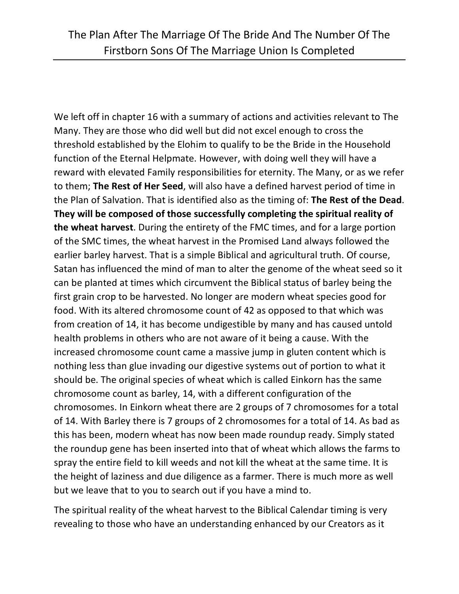We left off in chapter 16 with a summary of actions and activities relevant to The Many. They are those who did well but did not excel enough to cross the threshold established by the Elohim to qualify to be the Bride in the Household function of the Eternal Helpmate. However, with doing well they will have a reward with elevated Family responsibilities for eternity. The Many, or as we refer to them; **The Rest of Her Seed**, will also have a defined harvest period of time in the Plan of Salvation. That is identified also as the timing of: **The Rest of the Dead**. **They will be composed of those successfully completing the spiritual reality of the wheat harvest**. During the entirety of the FMC times, and for a large portion of the SMC times, the wheat harvest in the Promised Land always followed the earlier barley harvest. That is a simple Biblical and agricultural truth. Of course, Satan has influenced the mind of man to alter the genome of the wheat seed so it can be planted at times which circumvent the Biblical status of barley being the first grain crop to be harvested. No longer are modern wheat species good for food. With its altered chromosome count of 42 as opposed to that which was from creation of 14, it has become undigestible by many and has caused untold health problems in others who are not aware of it being a cause. With the increased chromosome count came a massive jump in gluten content which is nothing less than glue invading our digestive systems out of portion to what it should be. The original species of wheat which is called Einkorn has the same chromosome count as barley, 14, with a different configuration of the chromosomes. In Einkorn wheat there are 2 groups of 7 chromosomes for a total of 14. With Barley there is 7 groups of 2 chromosomes for a total of 14. As bad as this has been, modern wheat has now been made roundup ready. Simply stated the roundup gene has been inserted into that of wheat which allows the farms to spray the entire field to kill weeds and not kill the wheat at the same time. It is the height of laziness and due diligence as a farmer. There is much more as well but we leave that to you to search out if you have a mind to.

The spiritual reality of the wheat harvest to the Biblical Calendar timing is very revealing to those who have an understanding enhanced by our Creators as it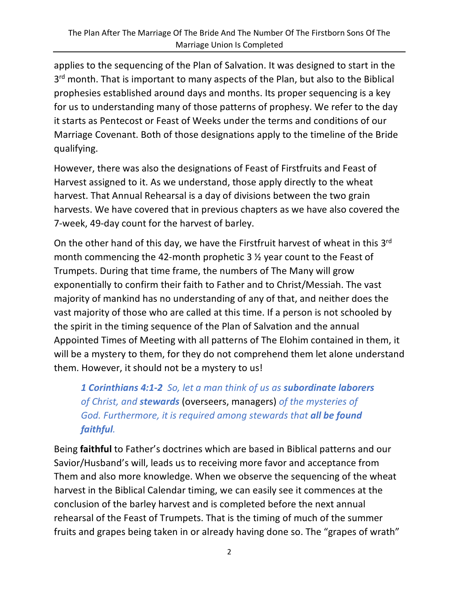applies to the sequencing of the Plan of Salvation. It was designed to start in the 3<sup>rd</sup> month. That is important to many aspects of the Plan, but also to the Biblical prophesies established around days and months. Its proper sequencing is a key for us to understanding many of those patterns of prophesy. We refer to the day it starts as Pentecost or Feast of Weeks under the terms and conditions of our Marriage Covenant. Both of those designations apply to the timeline of the Bride qualifying.

However, there was also the designations of Feast of Firstfruits and Feast of Harvest assigned to it. As we understand, those apply directly to the wheat harvest. That Annual Rehearsal is a day of divisions between the two grain harvests. We have covered that in previous chapters as we have also covered the 7-week, 49-day count for the harvest of barley.

On the other hand of this day, we have the Firstfruit harvest of wheat in this 3rd month commencing the 42-month prophetic 3 ½ year count to the Feast of Trumpets. During that time frame, the numbers of The Many will grow exponentially to confirm their faith to Father and to Christ/Messiah. The vast majority of mankind has no understanding of any of that, and neither does the vast majority of those who are called at this time. If a person is not schooled by the spirit in the timing sequence of the Plan of Salvation and the annual Appointed Times of Meeting with all patterns of The Elohim contained in them, it will be a mystery to them, for they do not comprehend them let alone understand them. However, it should not be a mystery to us!

*1 Corinthians 4:1-2 So, let a man think of us as subordinate laborers of Christ, and stewards* (overseers, managers) *of the mysteries of God. Furthermore, it is required among stewards that all be found faithful.*

Being **faithful** to Father's doctrines which are based in Biblical patterns and our Savior/Husband's will, leads us to receiving more favor and acceptance from Them and also more knowledge. When we observe the sequencing of the wheat harvest in the Biblical Calendar timing, we can easily see it commences at the conclusion of the barley harvest and is completed before the next annual rehearsal of the Feast of Trumpets. That is the timing of much of the summer fruits and grapes being taken in or already having done so. The "grapes of wrath"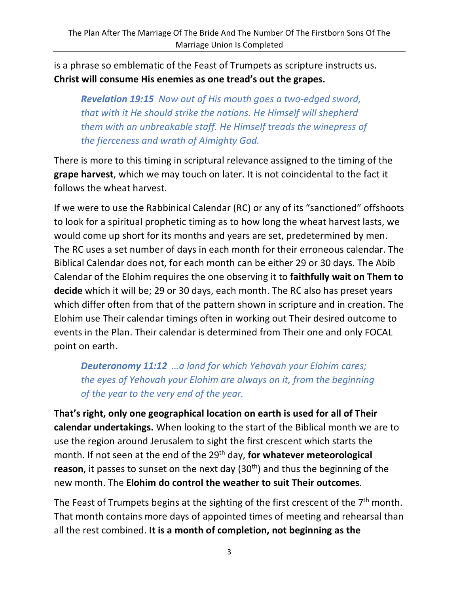is a phrase so emblematic of the Feast of Trumpets as scripture instructs us. **Christ will consume His enemies as one tread's out the grapes.**

*Revelation 19:15 Now out of His mouth goes a two-edged sword, that with it He should strike the nations. He Himself will shepherd them with an unbreakable staff. He Himself treads the winepress of the fierceness and wrath of Almighty God.*

There is more to this timing in scriptural relevance assigned to the timing of the **grape harvest**, which we may touch on later. It is not coincidental to the fact it follows the wheat harvest.

If we were to use the Rabbinical Calendar (RC) or any of its "sanctioned" offshoots to look for a spiritual prophetic timing as to how long the wheat harvest lasts, we would come up short for its months and years are set, predetermined by men. The RC uses a set number of days in each month for their erroneous calendar. The Biblical Calendar does not, for each month can be either 29 or 30 days. The Abib Calendar of the Elohim requires the one observing it to **faithfully wait on Them to decide** which it will be; 29 or 30 days, each month. The RC also has preset years which differ often from that of the pattern shown in scripture and in creation. The Elohim use Their calendar timings often in working out Their desired outcome to events in the Plan. Their calendar is determined from Their one and only FOCAL point on earth.

*Deuteronomy 11:12 …a land for which Yehovah your Elohim cares; the eyes of Yehovah your Elohim are always on it, from the beginning of the year to the very end of the year.*

**That's right, only one geographical location on earth is used for all of Their calendar undertakings.** When looking to the start of the Biblical month we are to use the region around Jerusalem to sight the first crescent which starts the month. If not seen at the end of the 29<sup>th</sup> day, **for whatever meteorological reason**, it passes to sunset on the next day (30<sup>th</sup>) and thus the beginning of the new month. The **Elohim do control the weather to suit Their outcomes**.

The Feast of Trumpets begins at the sighting of the first crescent of the 7<sup>th</sup> month. That month contains more days of appointed times of meeting and rehearsal than all the rest combined. **It is a month of completion, not beginning as the**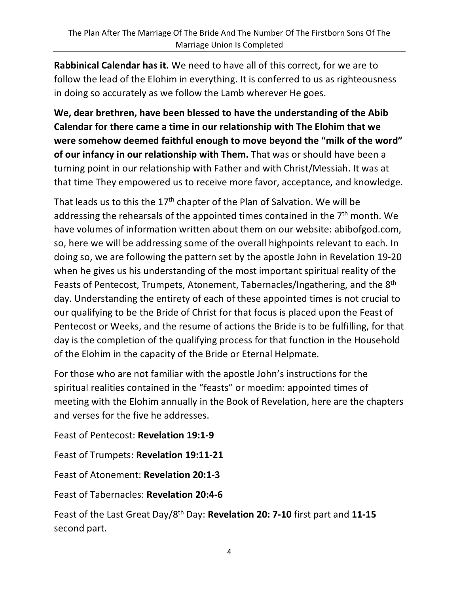**Rabbinical Calendar has it.** We need to have all of this correct, for we are to follow the lead of the Elohim in everything. It is conferred to us as righteousness in doing so accurately as we follow the Lamb wherever He goes.

**We, dear brethren, have been blessed to have the understanding of the Abib Calendar for there came a time in our relationship with The Elohim that we were somehow deemed faithful enough to move beyond the "milk of the word" of our infancy in our relationship with Them.** That was or should have been a turning point in our relationship with Father and with Christ/Messiah. It was at that time They empowered us to receive more favor, acceptance, and knowledge.

That leads us to this the  $17<sup>th</sup>$  chapter of the Plan of Salvation. We will be addressing the rehearsals of the appointed times contained in the  $7<sup>th</sup>$  month. We have volumes of information written about them on our website: abibofgod.com, so, here we will be addressing some of the overall highpoints relevant to each. In doing so, we are following the pattern set by the apostle John in Revelation 19-20 when he gives us his understanding of the most important spiritual reality of the Feasts of Pentecost, Trumpets, Atonement, Tabernacles/Ingathering, and the 8<sup>th</sup> day. Understanding the entirety of each of these appointed times is not crucial to our qualifying to be the Bride of Christ for that focus is placed upon the Feast of Pentecost or Weeks, and the resume of actions the Bride is to be fulfilling, for that day is the completion of the qualifying process for that function in the Household of the Elohim in the capacity of the Bride or Eternal Helpmate.

For those who are not familiar with the apostle John's instructions for the spiritual realities contained in the "feasts" or moedim: appointed times of meeting with the Elohim annually in the Book of Revelation, here are the chapters and verses for the five he addresses.

Feast of Pentecost: **Revelation 19:1-9**

Feast of Trumpets: **Revelation 19:11-21**

Feast of Atonement: **Revelation 20:1-3**

Feast of Tabernacles: **Revelation 20:4-6**

Feast of the Last Great Day/8th Day: **Revelation 20: 7-10** first part and **11-15** second part.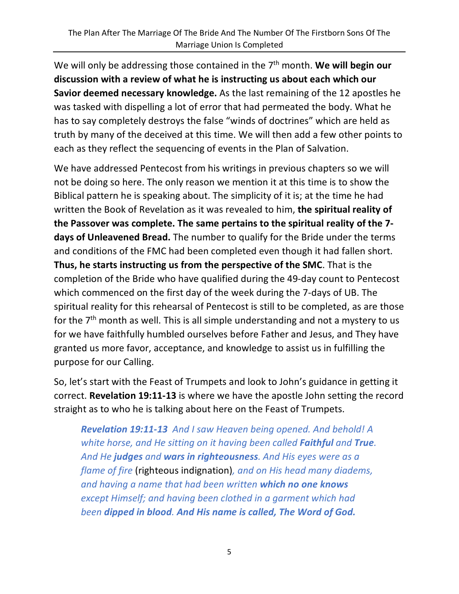We will only be addressing those contained in the 7<sup>th</sup> month. We will begin our **discussion with a review of what he is instructing us about each which our Savior deemed necessary knowledge.** As the last remaining of the 12 apostles he was tasked with dispelling a lot of error that had permeated the body. What he has to say completely destroys the false "winds of doctrines" which are held as truth by many of the deceived at this time. We will then add a few other points to each as they reflect the sequencing of events in the Plan of Salvation.

We have addressed Pentecost from his writings in previous chapters so we will not be doing so here. The only reason we mention it at this time is to show the Biblical pattern he is speaking about. The simplicity of it is; at the time he had written the Book of Revelation as it was revealed to him, **the spiritual reality of the Passover was complete. The same pertains to the spiritual reality of the 7 days of Unleavened Bread.** The number to qualify for the Bride under the terms and conditions of the FMC had been completed even though it had fallen short. **Thus, he starts instructing us from the perspective of the SMC**. That is the completion of the Bride who have qualified during the 49-day count to Pentecost which commenced on the first day of the week during the 7-days of UB. The spiritual reality for this rehearsal of Pentecost is still to be completed, as are those for the 7<sup>th</sup> month as well. This is all simple understanding and not a mystery to us for we have faithfully humbled ourselves before Father and Jesus, and They have granted us more favor, acceptance, and knowledge to assist us in fulfilling the purpose for our Calling.

So, let's start with the Feast of Trumpets and look to John's guidance in getting it correct. **Revelation 19:11-13** is where we have the apostle John setting the record straight as to who he is talking about here on the Feast of Trumpets.

*Revelation 19:11-13 And I saw Heaven being opened. And behold! A white horse, and He sitting on it having been called Faithful and True. And He judges and wars in righteousness. And His eyes were as a flame of fire* (righteous indignation)*, and on His head many diadems, and having a name that had been written which no one knows except Himself; and having been clothed in a garment which had been dipped in blood. And His name is called, The Word of God.*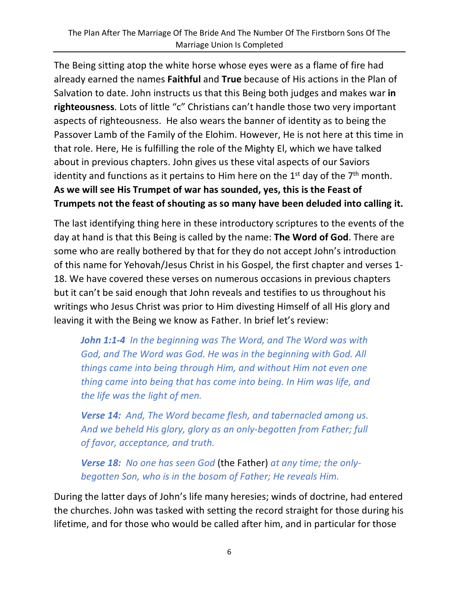The Being sitting atop the white horse whose eyes were as a flame of fire had already earned the names **Faithful** and **True** because of His actions in the Plan of Salvation to date. John instructs us that this Being both judges and makes war **in righteousness**. Lots of little "c" Christians can't handle those two very important aspects of righteousness. He also wears the banner of identity as to being the Passover Lamb of the Family of the Elohim. However, He is not here at this time in that role. Here, He is fulfilling the role of the Mighty El, which we have talked about in previous chapters. John gives us these vital aspects of our Saviors identity and functions as it pertains to Him here on the  $1<sup>st</sup>$  day of the  $7<sup>th</sup>$  month. **As we will see His Trumpet of war has sounded, yes, this is the Feast of Trumpets not the feast of shouting as so many have been deluded into calling it.**

The last identifying thing here in these introductory scriptures to the events of the day at hand is that this Being is called by the name: **The Word of God**. There are some who are really bothered by that for they do not accept John's introduction of this name for Yehovah/Jesus Christ in his Gospel, the first chapter and verses 1- 18. We have covered these verses on numerous occasions in previous chapters but it can't be said enough that John reveals and testifies to us throughout his writings who Jesus Christ was prior to Him divesting Himself of all His glory and leaving it with the Being we know as Father. In brief let's review:

*John 1:1-4 In the beginning was The Word, and The Word was with God, and The Word was God. He was in the beginning with God. All things came into being through Him, and without Him not even one thing came into being that has come into being. In Him was life, and the life was the light of men.*

*Verse 14: And, The Word became flesh, and tabernacled among us. And we beheld His glory, glory as an only-begotten from Father; full of favor, acceptance, and truth.*

*Verse 18: No one has seen God* (the Father) *at any time; the onlybegotten Son, who is in the bosom of Father; He reveals Him.*

During the latter days of John's life many heresies; winds of doctrine, had entered the churches. John was tasked with setting the record straight for those during his lifetime, and for those who would be called after him, and in particular for those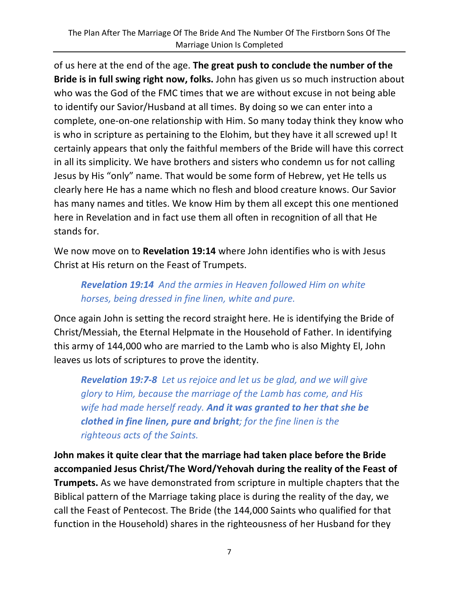of us here at the end of the age. **The great push to conclude the number of the Bride is in full swing right now, folks.** John has given us so much instruction about who was the God of the FMC times that we are without excuse in not being able to identify our Savior/Husband at all times. By doing so we can enter into a complete, one-on-one relationship with Him. So many today think they know who is who in scripture as pertaining to the Elohim, but they have it all screwed up! It certainly appears that only the faithful members of the Bride will have this correct in all its simplicity. We have brothers and sisters who condemn us for not calling Jesus by His "only" name. That would be some form of Hebrew, yet He tells us clearly here He has a name which no flesh and blood creature knows. Our Savior has many names and titles. We know Him by them all except this one mentioned here in Revelation and in fact use them all often in recognition of all that He stands for.

We now move on to **Revelation 19:14** where John identifies who is with Jesus Christ at His return on the Feast of Trumpets.

## *Revelation 19:14 And the armies in Heaven followed Him on white horses, being dressed in fine linen, white and pure.*

Once again John is setting the record straight here. He is identifying the Bride of Christ/Messiah, the Eternal Helpmate in the Household of Father. In identifying this army of 144,000 who are married to the Lamb who is also Mighty El, John leaves us lots of scriptures to prove the identity.

*Revelation 19:7-8 Let us rejoice and let us be glad, and we will give glory to Him, because the marriage of the Lamb has come, and His wife had made herself ready. And it was granted to her that she be clothed in fine linen, pure and bright; for the fine linen is the righteous acts of the Saints.*

**John makes it quite clear that the marriage had taken place before the Bride accompanied Jesus Christ/The Word/Yehovah during the reality of the Feast of Trumpets.** As we have demonstrated from scripture in multiple chapters that the Biblical pattern of the Marriage taking place is during the reality of the day, we call the Feast of Pentecost. The Bride (the 144,000 Saints who qualified for that function in the Household) shares in the righteousness of her Husband for they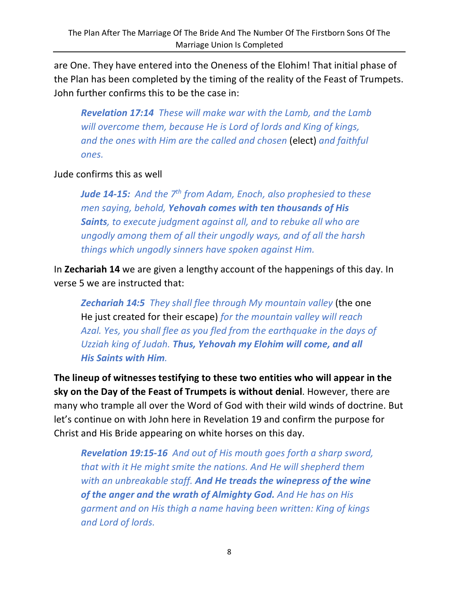are One. They have entered into the Oneness of the Elohim! That initial phase of the Plan has been completed by the timing of the reality of the Feast of Trumpets. John further confirms this to be the case in:

*Revelation 17:14 These will make war with the Lamb, and the Lamb will overcome them, because He is Lord of lords and King of kings, and the ones with Him are the called and chosen* (elect) *and faithful ones.*

Jude confirms this as well

*Jude 14-15: And the 7th from Adam, Enoch, also prophesied to these men saying, behold, Yehovah comes with ten thousands of His Saints, to execute judgment against all, and to rebuke all who are ungodly among them of all their ungodly ways, and of all the harsh things which ungodly sinners have spoken against Him.*

In **Zechariah 14** we are given a lengthy account of the happenings of this day. In verse 5 we are instructed that:

*Zechariah 14:5 They shall flee through My mountain valley* (the one He just created for their escape) *for the mountain valley will reach Azal. Yes, you shall flee as you fled from the earthquake in the days of Uzziah king of Judah. Thus, Yehovah my Elohim will come, and all His Saints with Him.*

**The lineup of witnesses testifying to these two entities who will appear in the sky on the Day of the Feast of Trumpets is without denial**. However, there are many who trample all over the Word of God with their wild winds of doctrine. But let's continue on with John here in Revelation 19 and confirm the purpose for Christ and His Bride appearing on white horses on this day.

*Revelation 19:15-16 And out of His mouth goes forth a sharp sword, that with it He might smite the nations. And He will shepherd them with an unbreakable staff. And He treads the winepress of the wine of the anger and the wrath of Almighty God. And He has on His garment and on His thigh a name having been written: King of kings and Lord of lords.*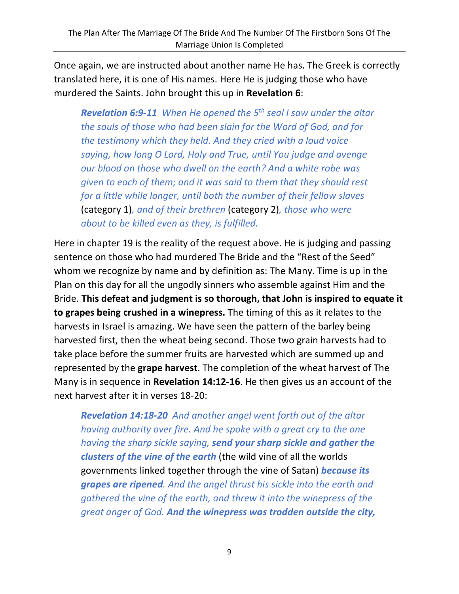Once again, we are instructed about another name He has. The Greek is correctly translated here, it is one of His names. Here He is judging those who have murdered the Saints. John brought this up in **Revelation 6**:

*Revelation 6:9-11 When He opened the 5th seal I saw under the altar the souls of those who had been slain for the Word of God, and for the testimony which they held. And they cried with a loud voice saying, how long O Lord, Holy and True, until You judge and avenge our blood on those who dwell on the earth? And a white robe was given to each of them; and it was said to them that they should rest for a little while longer, until both the number of their fellow slaves* (category 1)*, and of their brethren* (category 2)*, those who were about to be killed even as they, is fulfilled.*

Here in chapter 19 is the reality of the request above. He is judging and passing sentence on those who had murdered The Bride and the "Rest of the Seed" whom we recognize by name and by definition as: The Many. Time is up in the Plan on this day for all the ungodly sinners who assemble against Him and the Bride. **This defeat and judgment is so thorough, that John is inspired to equate it to grapes being crushed in a winepress.** The timing of this as it relates to the harvests in Israel is amazing. We have seen the pattern of the barley being harvested first, then the wheat being second. Those two grain harvests had to take place before the summer fruits are harvested which are summed up and represented by the **grape harvest**. The completion of the wheat harvest of The Many is in sequence in **Revelation 14:12-16**. He then gives us an account of the next harvest after it in verses 18-20:

*Revelation 14:18-20 And another angel went forth out of the altar having authority over fire. And he spoke with a great cry to the one having the sharp sickle saying, send your sharp sickle and gather the clusters of the vine of the earth* (the wild vine of all the worlds governments linked together through the vine of Satan) *because its grapes are ripened. And the angel thrust his sickle into the earth and gathered the vine of the earth, and threw it into the winepress of the great anger of God. And the winepress was trodden outside the city,*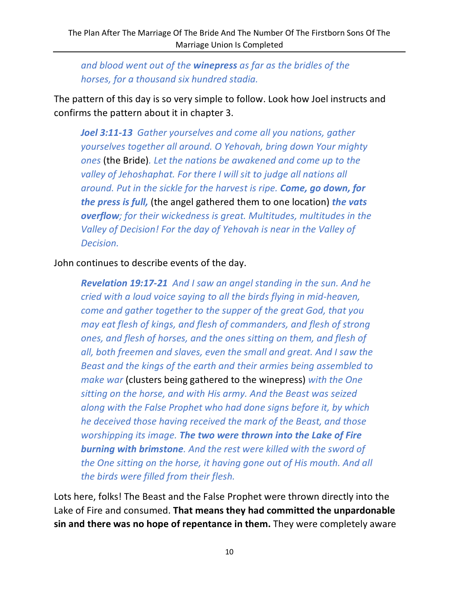*and blood went out of the winepress as far as the bridles of the horses, for a thousand six hundred stadia.*

The pattern of this day is so very simple to follow. Look how Joel instructs and confirms the pattern about it in chapter 3.

*Joel 3:11-13 Gather yourselves and come all you nations, gather yourselves together all around. O Yehovah, bring down Your mighty ones* (the Bride)*. Let the nations be awakened and come up to the valley of Jehoshaphat. For there I will sit to judge all nations all around. Put in the sickle for the harvest is ripe. Come, go down, for the press is full,* (the angel gathered them to one location) *the vats overflow; for their wickedness is great. Multitudes, multitudes in the Valley of Decision! For the day of Yehovah is near in the Valley of Decision.*

John continues to describe events of the day.

*Revelation 19:17-21 And I saw an angel standing in the sun. And he cried with a loud voice saying to all the birds flying in mid-heaven, come and gather together to the supper of the great God, that you may eat flesh of kings, and flesh of commanders, and flesh of strong ones, and flesh of horses, and the ones sitting on them, and flesh of all, both freemen and slaves, even the small and great. And I saw the Beast and the kings of the earth and their armies being assembled to make war* (clusters being gathered to the winepress) *with the One sitting on the horse, and with His army. And the Beast was seized along with the False Prophet who had done signs before it, by which he deceived those having received the mark of the Beast, and those worshipping its image. The two were thrown into the Lake of Fire burning with brimstone. And the rest were killed with the sword of the One sitting on the horse, it having gone out of His mouth. And all the birds were filled from their flesh.*

Lots here, folks! The Beast and the False Prophet were thrown directly into the Lake of Fire and consumed. **That means they had committed the unpardonable sin and there was no hope of repentance in them.** They were completely aware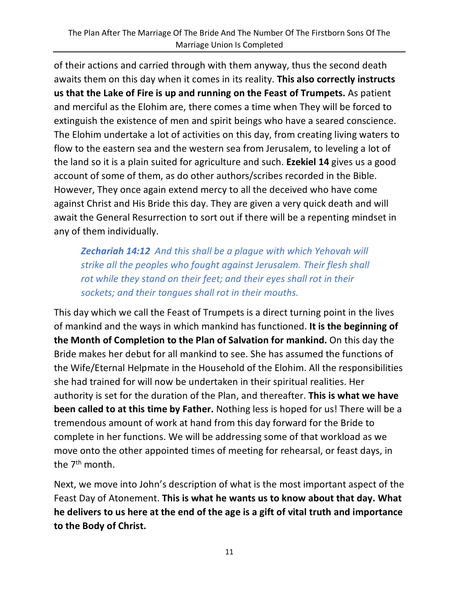of their actions and carried through with them anyway, thus the second death awaits them on this day when it comes in its reality. **This also correctly instructs us that the Lake of Fire is up and running on the Feast of Trumpets.** As patient and merciful as the Elohim are, there comes a time when They will be forced to extinguish the existence of men and spirit beings who have a seared conscience. The Elohim undertake a lot of activities on this day, from creating living waters to flow to the eastern sea and the western sea from Jerusalem, to leveling a lot of the land so it is a plain suited for agriculture and such. **Ezekiel 14** gives us a good account of some of them, as do other authors/scribes recorded in the Bible. However, They once again extend mercy to all the deceived who have come against Christ and His Bride this day. They are given a very quick death and will await the General Resurrection to sort out if there will be a repenting mindset in any of them individually.

*Zechariah 14:12 And this shall be a plague with which Yehovah will strike all the peoples who fought against Jerusalem. Their flesh shall rot while they stand on their feet; and their eyes shall rot in their sockets; and their tongues shall rot in their mouths.*

This day which we call the Feast of Trumpets is a direct turning point in the lives of mankind and the ways in which mankind has functioned. **It is the beginning of the Month of Completion to the Plan of Salvation for mankind.** On this day the Bride makes her debut for all mankind to see. She has assumed the functions of the Wife/Eternal Helpmate in the Household of the Elohim. All the responsibilities she had trained for will now be undertaken in their spiritual realities. Her authority is set for the duration of the Plan, and thereafter. **This is what we have been called to at this time by Father.** Nothing less is hoped for us! There will be a tremendous amount of work at hand from this day forward for the Bride to complete in her functions. We will be addressing some of that workload as we move onto the other appointed times of meeting for rehearsal, or feast days, in the 7<sup>th</sup> month.

Next, we move into John's description of what is the most important aspect of the Feast Day of Atonement. **This is what he wants us to know about that day. What he delivers to us here at the end of the age is a gift of vital truth and importance to the Body of Christ.**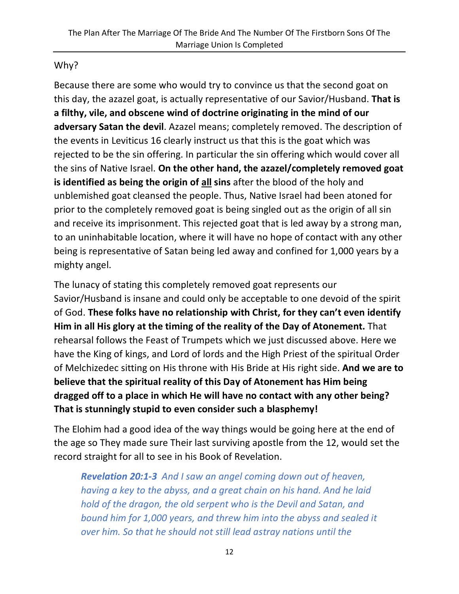#### Why?

Because there are some who would try to convince us that the second goat on this day, the azazel goat, is actually representative of our Savior/Husband. **That is a filthy, vile, and obscene wind of doctrine originating in the mind of our adversary Satan the devil**. Azazel means; completely removed. The description of the events in Leviticus 16 clearly instruct us that this is the goat which was rejected to be the sin offering. In particular the sin offering which would cover all the sins of Native Israel. **On the other hand, the azazel/completely removed goat is identified as being the origin of all sins** after the blood of the holy and unblemished goat cleansed the people. Thus, Native Israel had been atoned for prior to the completely removed goat is being singled out as the origin of all sin and receive its imprisonment. This rejected goat that is led away by a strong man, to an uninhabitable location, where it will have no hope of contact with any other being is representative of Satan being led away and confined for 1,000 years by a mighty angel.

The lunacy of stating this completely removed goat represents our Savior/Husband is insane and could only be acceptable to one devoid of the spirit of God. **These folks have no relationship with Christ, for they can't even identify Him in all His glory at the timing of the reality of the Day of Atonement.** That rehearsal follows the Feast of Trumpets which we just discussed above. Here we have the King of kings, and Lord of lords and the High Priest of the spiritual Order of Melchizedec sitting on His throne with His Bride at His right side. **And we are to believe that the spiritual reality of this Day of Atonement has Him being dragged off to a place in which He will have no contact with any other being? That is stunningly stupid to even consider such a blasphemy!**

The Elohim had a good idea of the way things would be going here at the end of the age so They made sure Their last surviving apostle from the 12, would set the record straight for all to see in his Book of Revelation.

*Revelation 20:1-3 And I saw an angel coming down out of heaven, having a key to the abyss, and a great chain on his hand. And he laid hold of the dragon, the old serpent who is the Devil and Satan, and bound him for 1,000 years, and threw him into the abyss and sealed it over him. So that he should not still lead astray nations until the*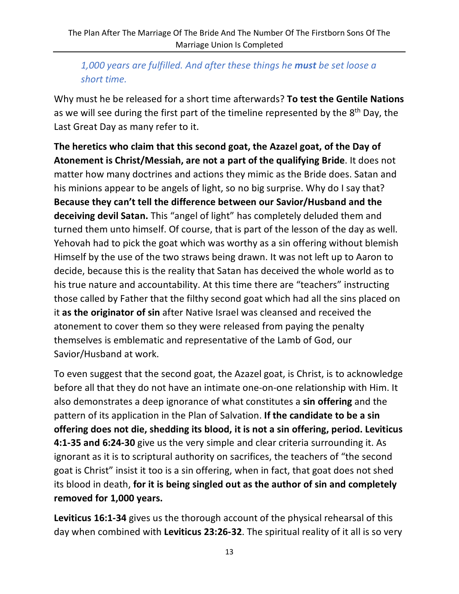# *1,000 years are fulfilled. And after these things he must be set loose a short time.*

Why must he be released for a short time afterwards? **To test the Gentile Nations** as we will see during the first part of the timeline represented by the 8<sup>th</sup> Day, the Last Great Day as many refer to it.

**The heretics who claim that this second goat, the Azazel goat, of the Day of Atonement is Christ/Messiah, are not a part of the qualifying Bride**. It does not matter how many doctrines and actions they mimic as the Bride does. Satan and his minions appear to be angels of light, so no big surprise. Why do I say that? **Because they can't tell the difference between our Savior/Husband and the deceiving devil Satan.** This "angel of light" has completely deluded them and turned them unto himself. Of course, that is part of the lesson of the day as well. Yehovah had to pick the goat which was worthy as a sin offering without blemish Himself by the use of the two straws being drawn. It was not left up to Aaron to decide, because this is the reality that Satan has deceived the whole world as to his true nature and accountability. At this time there are "teachers" instructing those called by Father that the filthy second goat which had all the sins placed on it **as the originator of sin** after Native Israel was cleansed and received the atonement to cover them so they were released from paying the penalty themselves is emblematic and representative of the Lamb of God, our Savior/Husband at work.

To even suggest that the second goat, the Azazel goat, is Christ, is to acknowledge before all that they do not have an intimate one-on-one relationship with Him. It also demonstrates a deep ignorance of what constitutes a **sin offering** and the pattern of its application in the Plan of Salvation. **If the candidate to be a sin offering does not die, shedding its blood, it is not a sin offering, period. Leviticus 4:1-35 and 6:24-30** give us the very simple and clear criteria surrounding it. As ignorant as it is to scriptural authority on sacrifices, the teachers of "the second goat is Christ" insist it too is a sin offering, when in fact, that goat does not shed its blood in death, **for it is being singled out as the author of sin and completely removed for 1,000 years.** 

**Leviticus 16:1-34** gives us the thorough account of the physical rehearsal of this day when combined with **Leviticus 23:26-32**. The spiritual reality of it all is so very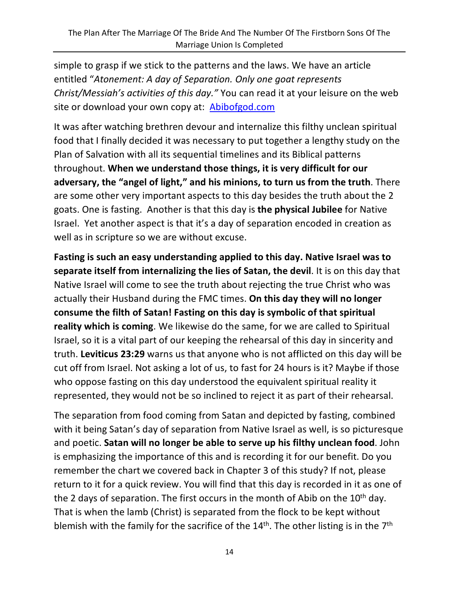simple to grasp if we stick to the patterns and the laws. We have an article entitled "*Atonement: A day of Separation. Only one goat represents Christ/Messiah's activities of this day."* You can read it at your leisure on the web site or download your own copy at: Abibofgod.com

It was after watching brethren devour and internalize this filthy unclean spiritual food that I finally decided it was necessary to put together a lengthy study on the Plan of Salvation with all its sequential timelines and its Biblical patterns throughout. **When we understand those things, it is very difficult for our adversary, the "angel of light," and his minions, to turn us from the truth**. There are some other very important aspects to this day besides the truth about the 2 goats. One is fasting. Another is that this day is **the physical Jubilee** for Native Israel. Yet another aspect is that it's a day of separation encoded in creation as well as in scripture so we are without excuse.

**Fasting is such an easy understanding applied to this day. Native Israel was to separate itself from internalizing the lies of Satan, the devil**. It is on this day that Native Israel will come to see the truth about rejecting the true Christ who was actually their Husband during the FMC times. **On this day they will no longer consume the filth of Satan! Fasting on this day is symbolic of that spiritual reality which is coming**. We likewise do the same, for we are called to Spiritual Israel, so it is a vital part of our keeping the rehearsal of this day in sincerity and truth. **Leviticus 23:29** warns us that anyone who is not afflicted on this day will be cut off from Israel. Not asking a lot of us, to fast for 24 hours is it? Maybe if those who oppose fasting on this day understood the equivalent spiritual reality it represented, they would not be so inclined to reject it as part of their rehearsal.

The separation from food coming from Satan and depicted by fasting, combined with it being Satan's day of separation from Native Israel as well, is so picturesque and poetic. **Satan will no longer be able to serve up his filthy unclean food**. John is emphasizing the importance of this and is recording it for our benefit. Do you remember the chart we covered back in Chapter 3 of this study? If not, please return to it for a quick review. You will find that this day is recorded in it as one of the 2 days of separation. The first occurs in the month of Abib on the 10<sup>th</sup> day. That is when the lamb (Christ) is separated from the flock to be kept without blemish with the family for the sacrifice of the  $14<sup>th</sup>$ . The other listing is in the  $7<sup>th</sup>$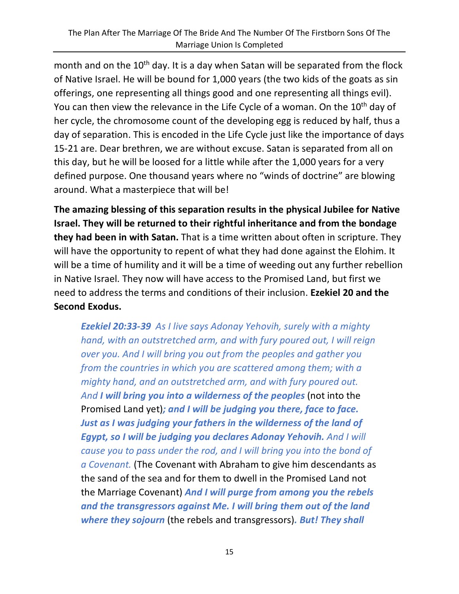month and on the 10<sup>th</sup> day. It is a day when Satan will be separated from the flock of Native Israel. He will be bound for 1,000 years (the two kids of the goats as sin offerings, one representing all things good and one representing all things evil). You can then view the relevance in the Life Cycle of a woman. On the 10<sup>th</sup> day of her cycle, the chromosome count of the developing egg is reduced by half, thus a day of separation. This is encoded in the Life Cycle just like the importance of days 15-21 are. Dear brethren, we are without excuse. Satan is separated from all on this day, but he will be loosed for a little while after the 1,000 years for a very defined purpose. One thousand years where no "winds of doctrine" are blowing around. What a masterpiece that will be!

**The amazing blessing of this separation results in the physical Jubilee for Native Israel. They will be returned to their rightful inheritance and from the bondage they had been in with Satan.** That is a time written about often in scripture. They will have the opportunity to repent of what they had done against the Elohim. It will be a time of humility and it will be a time of weeding out any further rebellion in Native Israel. They now will have access to the Promised Land, but first we need to address the terms and conditions of their inclusion. **Ezekiel 20 and the Second Exodus.**

*Ezekiel 20:33-39 As I live says Adonay Yehovih, surely with a mighty hand, with an outstretched arm, and with fury poured out, I will reign over you. And I will bring you out from the peoples and gather you from the countries in which you are scattered among them; with a mighty hand, and an outstretched arm, and with fury poured out. And I will bring you into a wilderness of the peoples* (not into the Promised Land yet)*; and I will be judging you there, face to face. Just as I was judging your fathers in the wilderness of the land of Egypt, so I will be judging you declares Adonay Yehovih. And I will cause you to pass under the rod, and I will bring you into the bond of a Covenant.* (The Covenant with Abraham to give him descendants as the sand of the sea and for them to dwell in the Promised Land not the Marriage Covenant) *And I will purge from among you the rebels and the transgressors against Me. I will bring them out of the land where they sojourn* (the rebels and transgressors)*. But! They shall*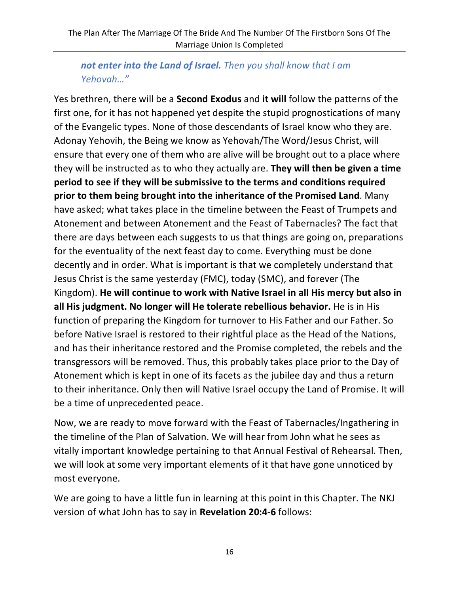## *not enter into the Land of Israel. Then you shall know that I am Yehovah…"*

Yes brethren, there will be a **Second Exodus** and **it will** follow the patterns of the first one, for it has not happened yet despite the stupid prognostications of many of the Evangelic types. None of those descendants of Israel know who they are. Adonay Yehovih, the Being we know as Yehovah/The Word/Jesus Christ, will ensure that every one of them who are alive will be brought out to a place where they will be instructed as to who they actually are. **They will then be given a time period to see if they will be submissive to the terms and conditions required prior to them being brought into the inheritance of the Promised Land**. Many have asked; what takes place in the timeline between the Feast of Trumpets and Atonement and between Atonement and the Feast of Tabernacles? The fact that there are days between each suggests to us that things are going on, preparations for the eventuality of the next feast day to come. Everything must be done decently and in order. What is important is that we completely understand that Jesus Christ is the same yesterday (FMC), today (SMC), and forever (The Kingdom). **He will continue to work with Native Israel in all His mercy but also in all His judgment. No longer will He tolerate rebellious behavior.** He is in His function of preparing the Kingdom for turnover to His Father and our Father. So before Native Israel is restored to their rightful place as the Head of the Nations, and has their inheritance restored and the Promise completed, the rebels and the transgressors will be removed. Thus, this probably takes place prior to the Day of Atonement which is kept in one of its facets as the jubilee day and thus a return to their inheritance. Only then will Native Israel occupy the Land of Promise. It will be a time of unprecedented peace.

Now, we are ready to move forward with the Feast of Tabernacles/Ingathering in the timeline of the Plan of Salvation. We will hear from John what he sees as vitally important knowledge pertaining to that Annual Festival of Rehearsal. Then, we will look at some very important elements of it that have gone unnoticed by most everyone.

We are going to have a little fun in learning at this point in this Chapter. The NKJ version of what John has to say in **Revelation 20:4-6** follows: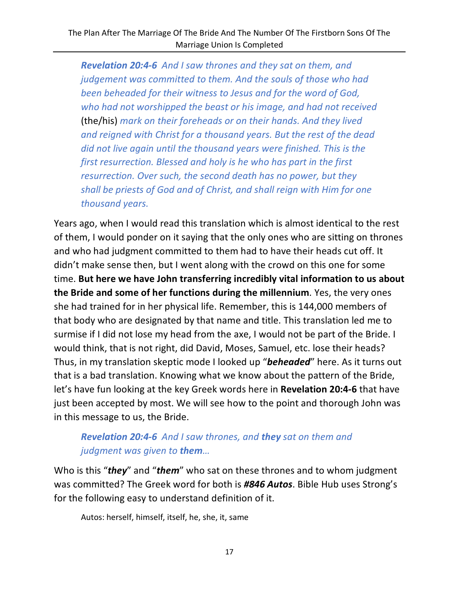*Revelation 20:4-6 And I saw thrones and they sat on them, and judgement was committed to them. And the souls of those who had been beheaded for their witness to Jesus and for the word of God, who had not worshipped the beast or his image, and had not received*  (the/his) *mark on their foreheads or on their hands. And they lived and reigned with Christ for a thousand years. But the rest of the dead did not live again until the thousand years were finished. This is the first resurrection. Blessed and holy is he who has part in the first resurrection. Over such, the second death has no power, but they shall be priests of God and of Christ, and shall reign with Him for one thousand years.*

Years ago, when I would read this translation which is almost identical to the rest of them, I would ponder on it saying that the only ones who are sitting on thrones and who had judgment committed to them had to have their heads cut off. It didn't make sense then, but I went along with the crowd on this one for some time. **But here we have John transferring incredibly vital information to us about the Bride and some of her functions during the millennium**. Yes, the very ones she had trained for in her physical life. Remember, this is 144,000 members of that body who are designated by that name and title. This translation led me to surmise if I did not lose my head from the axe, I would not be part of the Bride. I would think, that is not right, did David, Moses, Samuel, etc. lose their heads? Thus, in my translation skeptic mode I looked up "*beheaded*" here. As it turns out that is a bad translation. Knowing what we know about the pattern of the Bride, let's have fun looking at the key Greek words here in **Revelation 20:4-6** that have just been accepted by most. We will see how to the point and thorough John was in this message to us, the Bride.

### *Revelation 20:4-6 And I saw thrones, and they sat on them and judgment was given to them…*

Who is this "*they*" and "*them*" who sat on these thrones and to whom judgment was committed? The Greek word for both is *#846 Autos*. Bible Hub uses Strong's for the following easy to understand definition of it.

Autos: herself, himself, itself, he, she, it, same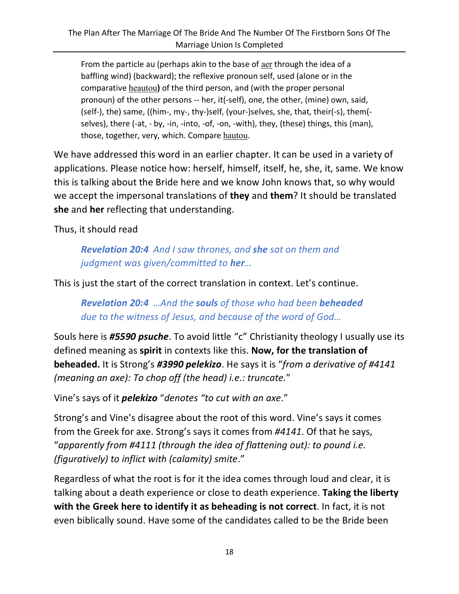From the particle au (perhaps akin to the base of aer through the idea of a baffling wind) (backward); the reflexive pronoun self, used (alone or in the comparative heautou**)** of the third person, and (with the proper personal pronoun) of the other persons -- her, it(-self), one, the other, (mine) own, said, (self-), the) same, ((him-, my-, thy-)self, (your-)selves, she, that, their(-s), them( selves), there (-at, - by, -in, -into, -of, -on, -with), they, (these) things, this (man), those, together, very, which. Compare hautou.

We have addressed this word in an earlier chapter. It can be used in a variety of applications. Please notice how: herself, himself, itself, he, she, it, same. We know this is talking about the Bride here and we know John knows that, so why would we accept the impersonal translations of **they** and **them**? It should be translated **she** and **her** reflecting that understanding.

Thus, it should read

*Revelation 20:4 And I saw thrones, and she sat on them and judgment was given/committed to her…*

This is just the start of the correct translation in context. Let's continue.

*Revelation 20:4 …And the souls of those who had been beheaded due to the witness of Jesus, and because of the word of God…*

Souls here is *#5590 psuche*. To avoid little "c" Christianity theology I usually use its defined meaning as **spirit** in contexts like this. **Now, for the translation of beheaded.** It is Strong's *#3990 pelekizo*. He says it is "*from a derivative of #4141 (meaning an axe): To chop off (the head) i.e.: truncate.*"

Vine's says of it *pelekizo* "*denotes "to cut with an axe*."

Strong's and Vine's disagree about the root of this word. Vine's says it comes from the Greek for axe. Strong's says it comes from *#4141*. Of that he says, "*apparently from #4111 (through the idea of flattening out): to pound i.e. (figuratively) to inflict with (calamity) smite*."

Regardless of what the root is for it the idea comes through loud and clear, it is talking about a death experience or close to death experience. **Taking the liberty with the Greek here to identify it as beheading is not correct**. In fact, it is not even biblically sound. Have some of the candidates called to be the Bride been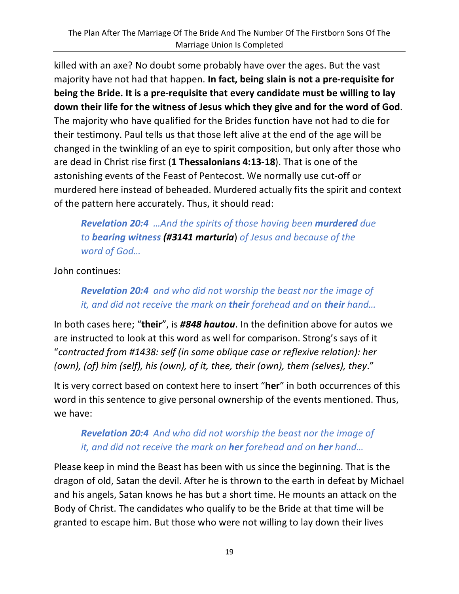killed with an axe? No doubt some probably have over the ages. But the vast majority have not had that happen. **In fact, being slain is not a pre-requisite for being the Bride. It is a pre-requisite that every candidate must be willing to lay down their life for the witness of Jesus which they give and for the word of God**. The majority who have qualified for the Brides function have not had to die for their testimony. Paul tells us that those left alive at the end of the age will be changed in the twinkling of an eye to spirit composition, but only after those who are dead in Christ rise first (**1 Thessalonians 4:13-18**). That is one of the astonishing events of the Feast of Pentecost. We normally use cut-off or murdered here instead of beheaded. Murdered actually fits the spirit and context of the pattern here accurately. Thus, it should read:

# *Revelation 20:4 …And the spirits of those having been murdered due to bearing witness (#3141 marturia*) *of Jesus and because of the word of God…*

John continues:

### *Revelation 20:4 and who did not worship the beast nor the image of it, and did not receive the mark on their forehead and on their hand…*

In both cases here; "**their**", is *#848 hautou*. In the definition above for autos we are instructed to look at this word as well for comparison. Strong's says of it "*contracted from #1438: self (in some oblique case or reflexive relation): her (own), (of) him (self), his (own), of it, thee, their (own), them (selves), they*."

It is very correct based on context here to insert "**her**" in both occurrences of this word in this sentence to give personal ownership of the events mentioned. Thus, we have:

# *Revelation 20:4 And who did not worship the beast nor the image of it, and did not receive the mark on her forehead and on her hand…*

Please keep in mind the Beast has been with us since the beginning. That is the dragon of old, Satan the devil. After he is thrown to the earth in defeat by Michael and his angels, Satan knows he has but a short time. He mounts an attack on the Body of Christ. The candidates who qualify to be the Bride at that time will be granted to escape him. But those who were not willing to lay down their lives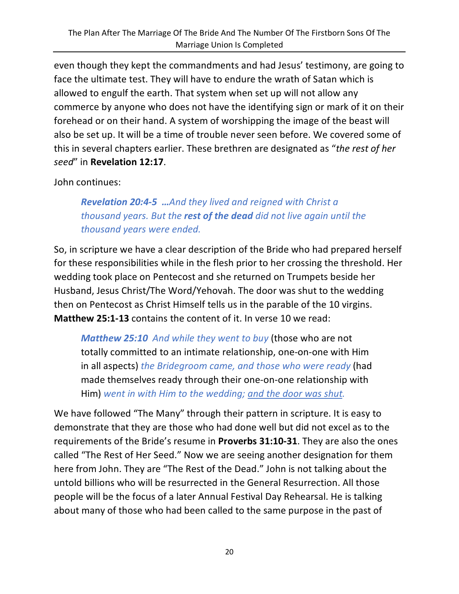even though they kept the commandments and had Jesus' testimony, are going to face the ultimate test. They will have to endure the wrath of Satan which is allowed to engulf the earth. That system when set up will not allow any commerce by anyone who does not have the identifying sign or mark of it on their forehead or on their hand. A system of worshipping the image of the beast will also be set up. It will be a time of trouble never seen before. We covered some of this in several chapters earlier. These brethren are designated as "*the rest of her seed*" in **Revelation 12:17**.

John continues:

*Revelation 20:4-5 …And they lived and reigned with Christ a thousand years. But the rest of the dead did not live again until the thousand years were ended.*

So, in scripture we have a clear description of the Bride who had prepared herself for these responsibilities while in the flesh prior to her crossing the threshold. Her wedding took place on Pentecost and she returned on Trumpets beside her Husband, Jesus Christ/The Word/Yehovah. The door was shut to the wedding then on Pentecost as Christ Himself tells us in the parable of the 10 virgins. **Matthew 25:1-13** contains the content of it. In verse 10 we read:

*Matthew 25:10 And while they went to buy* (those who are not totally committed to an intimate relationship, one-on-one with Him in all aspects) *the Bridegroom came, and those who were ready* (had made themselves ready through their one-on-one relationship with Him) *went in with Him to the wedding; and the door was shut.*

We have followed "The Many" through their pattern in scripture. It is easy to demonstrate that they are those who had done well but did not excel as to the requirements of the Bride's resume in **Proverbs 31:10-31**. They are also the ones called "The Rest of Her Seed." Now we are seeing another designation for them here from John. They are "The Rest of the Dead." John is not talking about the untold billions who will be resurrected in the General Resurrection. All those people will be the focus of a later Annual Festival Day Rehearsal. He is talking about many of those who had been called to the same purpose in the past of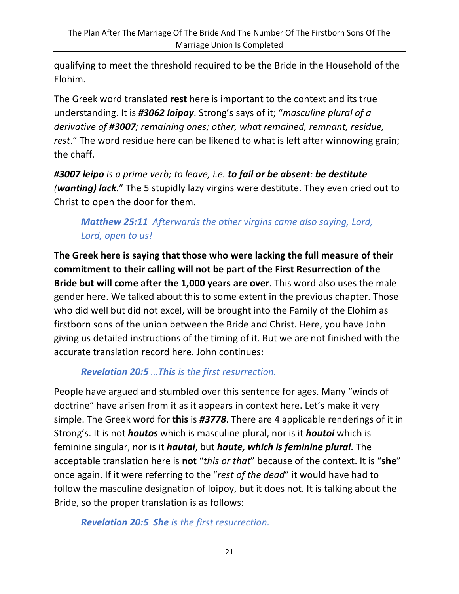qualifying to meet the threshold required to be the Bride in the Household of the Elohim.

The Greek word translated **rest** here is important to the context and its true understanding. It is *#3062 loipoy*. Strong's says of it; "*masculine plural of a derivative of #3007; remaining ones; other, what remained, remnant, residue, rest*." The word residue here can be likened to what is left after winnowing grain; the chaff.

*#3007 leipo is a prime verb; to leave, i.e. to fail or be absent: be destitute (wanting) lack.*" The 5 stupidly lazy virgins were destitute. They even cried out to Christ to open the door for them.

# *Matthew 25:11 Afterwards the other virgins came also saying, Lord, Lord, open to us!*

**The Greek here is saying that those who were lacking the full measure of their commitment to their calling will not be part of the First Resurrection of the Bride but will come after the 1,000 years are over**. This word also uses the male gender here. We talked about this to some extent in the previous chapter. Those who did well but did not excel, will be brought into the Family of the Elohim as firstborn sons of the union between the Bride and Christ. Here, you have John giving us detailed instructions of the timing of it. But we are not finished with the accurate translation record here. John continues:

#### *Revelation 20:5 …This is the first resurrection.*

People have argued and stumbled over this sentence for ages. Many "winds of doctrine" have arisen from it as it appears in context here. Let's make it very simple. The Greek word for **this** is *#3778*. There are 4 applicable renderings of it in Strong's. It is not *houtos* which is masculine plural, nor is it *houtoi* which is feminine singular, nor is it *hautai*, but *haute, which is feminine plural*. The acceptable translation here is **not** "*this or that*" because of the context. It is "**she**" once again. If it were referring to the "*rest of the dead*" it would have had to follow the masculine designation of loipoy, but it does not. It is talking about the Bride, so the proper translation is as follows:

*Revelation 20:5 She is the first resurrection.*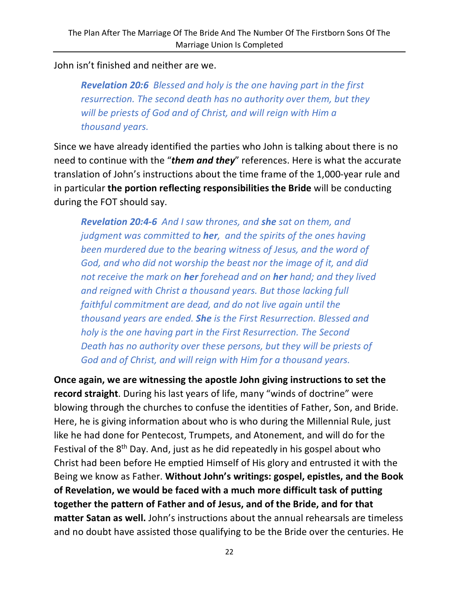John isn't finished and neither are we.

*Revelation 20:6 Blessed and holy is the one having part in the first resurrection. The second death has no authority over them, but they will be priests of God and of Christ, and will reign with Him a thousand years.*

Since we have already identified the parties who John is talking about there is no need to continue with the "*them and they*" references. Here is what the accurate translation of John's instructions about the time frame of the 1,000-year rule and in particular **the portion reflecting responsibilities the Bride** will be conducting during the FOT should say.

*Revelation 20:4-6 And I saw thrones, and she sat on them, and judgment was committed to her, and the spirits of the ones having been murdered due to the bearing witness of Jesus, and the word of God, and who did not worship the beast nor the image of it, and did not receive the mark on her forehead and on her hand; and they lived and reigned with Christ a thousand years. But those lacking full faithful commitment are dead, and do not live again until the thousand years are ended. She is the First Resurrection. Blessed and holy is the one having part in the First Resurrection. The Second Death has no authority over these persons, but they will be priests of God and of Christ, and will reign with Him for a thousand years.*

**Once again, we are witnessing the apostle John giving instructions to set the record straight**. During his last years of life, many "winds of doctrine" were blowing through the churches to confuse the identities of Father, Son, and Bride. Here, he is giving information about who is who during the Millennial Rule, just like he had done for Pentecost, Trumpets, and Atonement, and will do for the Festival of the 8<sup>th</sup> Day. And, just as he did repeatedly in his gospel about who Christ had been before He emptied Himself of His glory and entrusted it with the Being we know as Father. **Without John's writings: gospel, epistles, and the Book of Revelation, we would be faced with a much more difficult task of putting together the pattern of Father and of Jesus, and of the Bride, and for that matter Satan as well.** John's instructions about the annual rehearsals are timeless and no doubt have assisted those qualifying to be the Bride over the centuries. He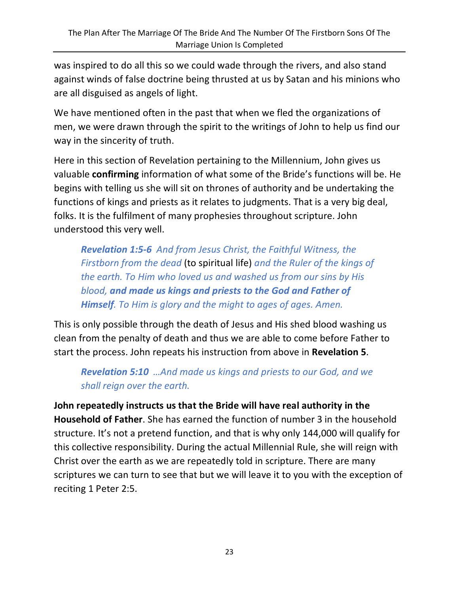was inspired to do all this so we could wade through the rivers, and also stand against winds of false doctrine being thrusted at us by Satan and his minions who are all disguised as angels of light.

We have mentioned often in the past that when we fled the organizations of men, we were drawn through the spirit to the writings of John to help us find our way in the sincerity of truth.

Here in this section of Revelation pertaining to the Millennium, John gives us valuable **confirming** information of what some of the Bride's functions will be. He begins with telling us she will sit on thrones of authority and be undertaking the functions of kings and priests as it relates to judgments. That is a very big deal, folks. It is the fulfilment of many prophesies throughout scripture. John understood this very well.

*Revelation 1:5-6 And from Jesus Christ, the Faithful Witness, the Firstborn from the dead* (to spiritual life) *and the Ruler of the kings of the earth. To Him who loved us and washed us from our sins by His blood, and made us kings and priests to the God and Father of Himself. To Him is glory and the might to ages of ages. Amen.*

This is only possible through the death of Jesus and His shed blood washing us clean from the penalty of death and thus we are able to come before Father to start the process. John repeats his instruction from above in **Revelation 5**.

*Revelation 5:10 …And made us kings and priests to our God, and we shall reign over the earth.*

**John repeatedly instructs us that the Bride will have real authority in the Household of Father**. She has earned the function of number 3 in the household structure. It's not a pretend function, and that is why only 144,000 will qualify for this collective responsibility. During the actual Millennial Rule, she will reign with Christ over the earth as we are repeatedly told in scripture. There are many scriptures we can turn to see that but we will leave it to you with the exception of reciting 1 Peter 2:5.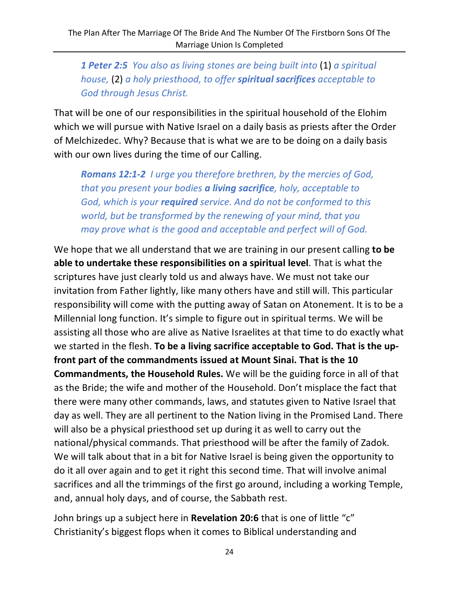*1 Peter 2:5 You also as living stones are being built into* (1) *a spiritual house,* (2) *a holy priesthood, to offer spiritual sacrifices acceptable to God through Jesus Christ.*

That will be one of our responsibilities in the spiritual household of the Elohim which we will pursue with Native Israel on a daily basis as priests after the Order of Melchizedec. Why? Because that is what we are to be doing on a daily basis with our own lives during the time of our Calling.

*Romans 12:1-2 I urge you therefore brethren, by the mercies of God, that you present your bodies a living sacrifice, holy, acceptable to God, which is your required service. And do not be conformed to this world, but be transformed by the renewing of your mind, that you may prove what is the good and acceptable and perfect will of God.*

We hope that we all understand that we are training in our present calling **to be able to undertake these responsibilities on a spiritual level**. That is what the scriptures have just clearly told us and always have. We must not take our invitation from Father lightly, like many others have and still will. This particular responsibility will come with the putting away of Satan on Atonement. It is to be a Millennial long function. It's simple to figure out in spiritual terms. We will be assisting all those who are alive as Native Israelites at that time to do exactly what we started in the flesh. **To be a living sacrifice acceptable to God. That is the upfront part of the commandments issued at Mount Sinai. That is the 10 Commandments, the Household Rules.** We will be the guiding force in all of that as the Bride; the wife and mother of the Household. Don't misplace the fact that there were many other commands, laws, and statutes given to Native Israel that day as well. They are all pertinent to the Nation living in the Promised Land. There will also be a physical priesthood set up during it as well to carry out the national/physical commands. That priesthood will be after the family of Zadok. We will talk about that in a bit for Native Israel is being given the opportunity to do it all over again and to get it right this second time. That will involve animal sacrifices and all the trimmings of the first go around, including a working Temple, and, annual holy days, and of course, the Sabbath rest.

John brings up a subject here in **Revelation 20:6** that is one of little "c" Christianity's biggest flops when it comes to Biblical understanding and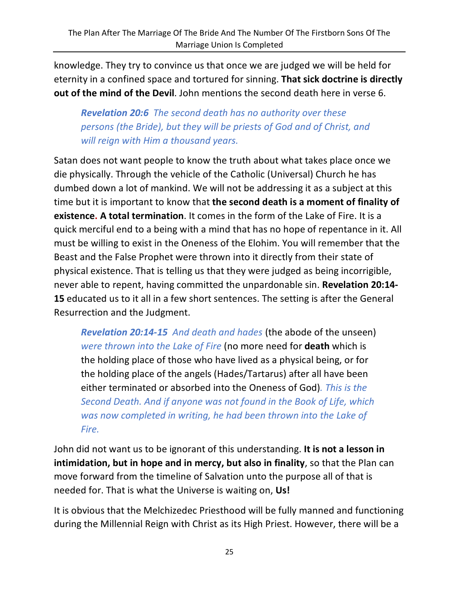knowledge. They try to convince us that once we are judged we will be held for eternity in a confined space and tortured for sinning. **That sick doctrine is directly out of the mind of the Devil**. John mentions the second death here in verse 6.

*Revelation 20:6 The second death has no authority over these persons (the Bride), but they will be priests of God and of Christ, and will reign with Him a thousand years.*

Satan does not want people to know the truth about what takes place once we die physically. Through the vehicle of the Catholic (Universal) Church he has dumbed down a lot of mankind. We will not be addressing it as a subject at this time but it is important to know that **the second death is a moment of finality of existence. A total termination**. It comes in the form of the Lake of Fire. It is a quick merciful end to a being with a mind that has no hope of repentance in it. All must be willing to exist in the Oneness of the Elohim. You will remember that the Beast and the False Prophet were thrown into it directly from their state of physical existence. That is telling us that they were judged as being incorrigible, never able to repent, having committed the unpardonable sin. **Revelation 20:14- 15** educated us to it all in a few short sentences. The setting is after the General Resurrection and the Judgment.

*Revelation 20:14-15 And death and hades* (the abode of the unseen) *were thrown into the Lake of Fire* (no more need for **death** which is the holding place of those who have lived as a physical being, or for the holding place of the angels (Hades/Tartarus) after all have been either terminated or absorbed into the Oneness of God)*. This is the Second Death. And if anyone was not found in the Book of Life, which was now completed in writing, he had been thrown into the Lake of Fire.*

John did not want us to be ignorant of this understanding. **It is not a lesson in intimidation, but in hope and in mercy, but also in finality**, so that the Plan can move forward from the timeline of Salvation unto the purpose all of that is needed for. That is what the Universe is waiting on, **Us!**

It is obvious that the Melchizedec Priesthood will be fully manned and functioning during the Millennial Reign with Christ as its High Priest. However, there will be a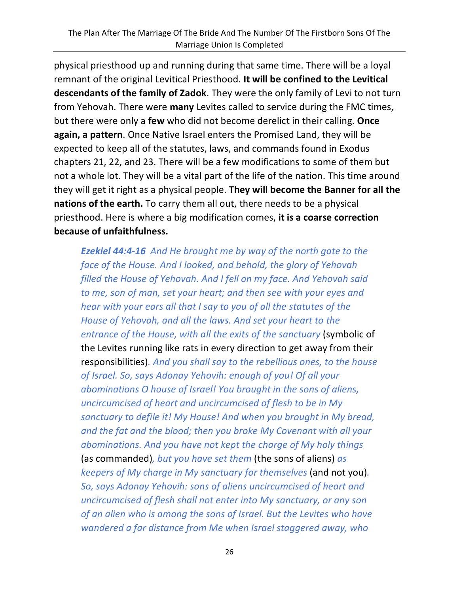physical priesthood up and running during that same time. There will be a loyal remnant of the original Levitical Priesthood. **It will be confined to the Levitical descendants of the family of Zadok**. They were the only family of Levi to not turn from Yehovah. There were **many** Levites called to service during the FMC times, but there were only a **few** who did not become derelict in their calling. **Once again, a pattern**. Once Native Israel enters the Promised Land, they will be expected to keep all of the statutes, laws, and commands found in Exodus chapters 21, 22, and 23. There will be a few modifications to some of them but not a whole lot. They will be a vital part of the life of the nation. This time around they will get it right as a physical people. **They will become the Banner for all the nations of the earth.** To carry them all out, there needs to be a physical priesthood. Here is where a big modification comes, **it is a coarse correction because of unfaithfulness.** 

*Ezekiel 44:4-16 And He brought me by way of the north gate to the face of the House. And I looked, and behold, the glory of Yehovah filled the House of Yehovah. And I fell on my face. And Yehovah said to me, son of man, set your heart; and then see with your eyes and hear with your ears all that I say to you of all the statutes of the House of Yehovah, and all the laws. And set your heart to the entrance of the House, with all the exits of the sanctuary* (symbolic of the Levites running like rats in every direction to get away from their responsibilities)*. And you shall say to the rebellious ones, to the house of Israel. So, says Adonay Yehovih: enough of you! Of all your abominations O house of Israel! You brought in the sons of aliens, uncircumcised of heart and uncircumcised of flesh to be in My sanctuary to defile it! My House! And when you brought in My bread, and the fat and the blood; then you broke My Covenant with all your abominations. And you have not kept the charge of My holy things*  (as commanded)*, but you have set them* (the sons of aliens) *as keepers of My charge in My sanctuary for themselves* (and not you)*. So, says Adonay Yehovih: sons of aliens uncircumcised of heart and uncircumcised of flesh shall not enter into My sanctuary, or any son of an alien who is among the sons of Israel. But the Levites who have wandered a far distance from Me when Israel staggered away, who*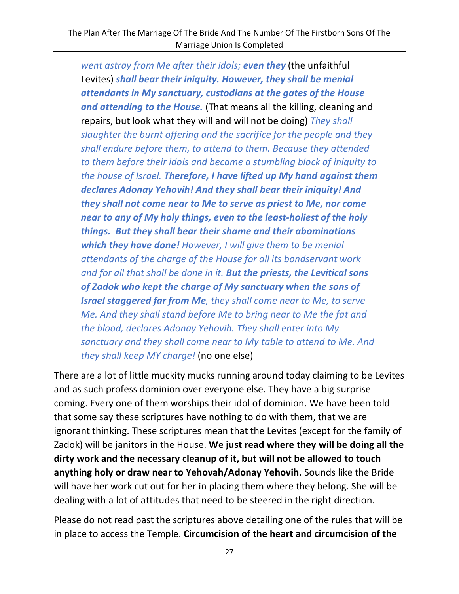*went astray from Me after their idols; even they* (the unfaithful Levites) *shall bear their iniquity. However, they shall be menial attendants in My sanctuary, custodians at the gates of the House and attending to the House.* (That means all the killing, cleaning and repairs, but look what they will and will not be doing) *They shall slaughter the burnt offering and the sacrifice for the people and they shall endure before them, to attend to them. Because they attended to them before their idols and became a stumbling block of iniquity to the house of Israel. Therefore, I have lifted up My hand against them declares Adonay Yehovih! And they shall bear their iniquity! And they shall not come near to Me to serve as priest to Me, nor come near to any of My holy things, even to the least-holiest of the holy things. But they shall bear their shame and their abominations which they have done! However, I will give them to be menial attendants of the charge of the House for all its bondservant work and for all that shall be done in it. But the priests, the Levitical sons of Zadok who kept the charge of My sanctuary when the sons of Israel staggered far from Me, they shall come near to Me, to serve Me. And they shall stand before Me to bring near to Me the fat and the blood, declares Adonay Yehovih. They shall enter into My sanctuary and they shall come near to My table to attend to Me. And they shall keep MY charge!* (no one else)

There are a lot of little muckity mucks running around today claiming to be Levites and as such profess dominion over everyone else. They have a big surprise coming. Every one of them worships their idol of dominion. We have been told that some say these scriptures have nothing to do with them, that we are ignorant thinking. These scriptures mean that the Levites (except for the family of Zadok) will be janitors in the House. **We just read where they will be doing all the dirty work and the necessary cleanup of it, but will not be allowed to touch anything holy or draw near to Yehovah/Adonay Yehovih.** Sounds like the Bride will have her work cut out for her in placing them where they belong. She will be dealing with a lot of attitudes that need to be steered in the right direction.

Please do not read past the scriptures above detailing one of the rules that will be in place to access the Temple. **Circumcision of the heart and circumcision of the**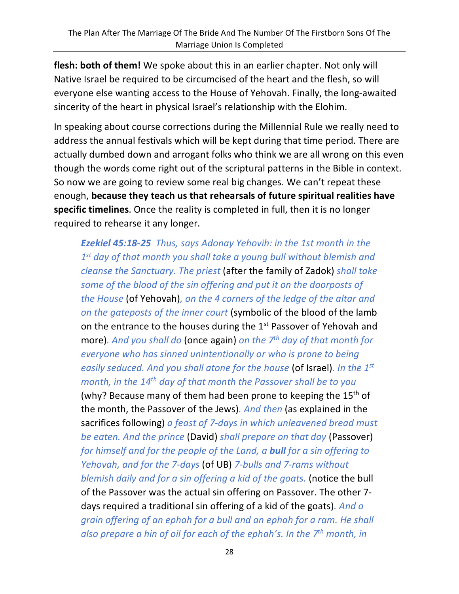**flesh: both of them!** We spoke about this in an earlier chapter. Not only will Native Israel be required to be circumcised of the heart and the flesh, so will everyone else wanting access to the House of Yehovah. Finally, the long-awaited sincerity of the heart in physical Israel's relationship with the Elohim.

In speaking about course corrections during the Millennial Rule we really need to address the annual festivals which will be kept during that time period. There are actually dumbed down and arrogant folks who think we are all wrong on this even though the words come right out of the scriptural patterns in the Bible in context. So now we are going to review some real big changes. We can't repeat these enough, **because they teach us that rehearsals of future spiritual realities have specific timelines**. Once the reality is completed in full, then it is no longer required to rehearse it any longer.

*Ezekiel 45:18-25 Thus, says Adonay Yehovih: in the 1st month in the 1st day of that month you shall take a young bull without blemish and cleanse the Sanctuary. The priest* (after the family of Zadok) *shall take some of the blood of the sin offering and put it on the doorposts of the House* (of Yehovah)*, on the 4 corners of the ledge of the altar and on the gateposts of the inner court* (symbolic of the blood of the lamb on the entrance to the houses during the  $1<sup>st</sup>$  Passover of Yehovah and more)*. And you shall do* (once again) *on the 7th day of that month for everyone who has sinned unintentionally or who is prone to being easily seduced. And you shall atone for the house* (of Israel)*. In the 1st month, in the 14th day of that month the Passover shall be to you*  (why? Because many of them had been prone to keeping the 15<sup>th</sup> of the month, the Passover of the Jews)*. And then* (as explained in the sacrifices following) *a feast of 7-days in which unleavened bread must be eaten. And the prince* (David) *shall prepare on that day* (Passover) *for himself and for the people of the Land, a bull for a sin offering to Yehovah, and for the 7-days* (of UB) *7-bulls and 7-rams without blemish daily and for a sin offering a kid of the goats.* (notice the bull of the Passover was the actual sin offering on Passover. The other 7 days required a traditional sin offering of a kid of the goats)*. And a grain offering of an ephah for a bull and an ephah for a ram. He shall also prepare a hin of oil for each of the ephah's. In the 7th month, in*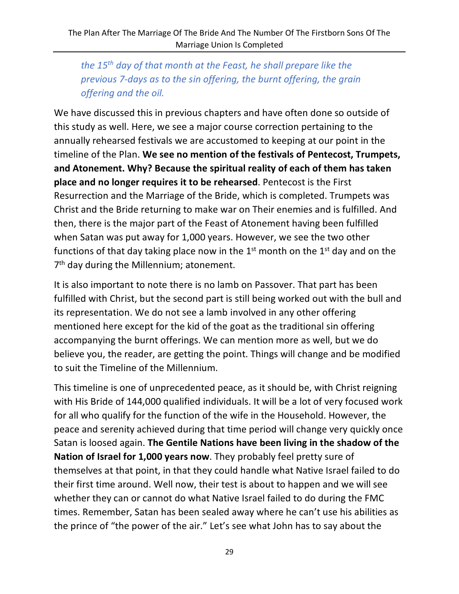*the 15th day of that month at the Feast, he shall prepare like the previous 7-days as to the sin offering, the burnt offering, the grain offering and the oil.*

We have discussed this in previous chapters and have often done so outside of this study as well. Here, we see a major course correction pertaining to the annually rehearsed festivals we are accustomed to keeping at our point in the timeline of the Plan. **We see no mention of the festivals of Pentecost, Trumpets, and Atonement. Why? Because the spiritual reality of each of them has taken place and no longer requires it to be rehearsed**. Pentecost is the First Resurrection and the Marriage of the Bride, which is completed. Trumpets was Christ and the Bride returning to make war on Their enemies and is fulfilled. And then, there is the major part of the Feast of Atonement having been fulfilled when Satan was put away for 1,000 years. However, we see the two other functions of that day taking place now in the  $1<sup>st</sup>$  month on the  $1<sup>st</sup>$  day and on the 7<sup>th</sup> day during the Millennium; atonement.

It is also important to note there is no lamb on Passover. That part has been fulfilled with Christ, but the second part is still being worked out with the bull and its representation. We do not see a lamb involved in any other offering mentioned here except for the kid of the goat as the traditional sin offering accompanying the burnt offerings. We can mention more as well, but we do believe you, the reader, are getting the point. Things will change and be modified to suit the Timeline of the Millennium.

This timeline is one of unprecedented peace, as it should be, with Christ reigning with His Bride of 144,000 qualified individuals. It will be a lot of very focused work for all who qualify for the function of the wife in the Household. However, the peace and serenity achieved during that time period will change very quickly once Satan is loosed again. **The Gentile Nations have been living in the shadow of the Nation of Israel for 1,000 years now**. They probably feel pretty sure of themselves at that point, in that they could handle what Native Israel failed to do their first time around. Well now, their test is about to happen and we will see whether they can or cannot do what Native Israel failed to do during the FMC times. Remember, Satan has been sealed away where he can't use his abilities as the prince of "the power of the air." Let's see what John has to say about the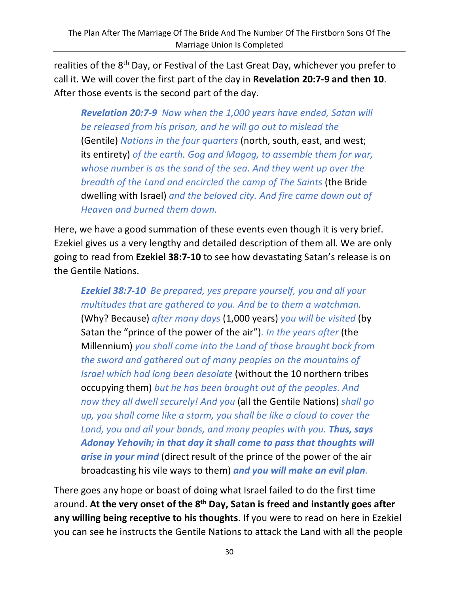realities of the 8<sup>th</sup> Day, or Festival of the Last Great Day, whichever you prefer to call it. We will cover the first part of the day in **Revelation 20:7-9 and then 10**. After those events is the second part of the day.

*Revelation 20:7-9 Now when the 1,000 years have ended, Satan will be released from his prison, and he will go out to mislead the*  (Gentile) *Nations in the four quarters* (north, south, east, and west; its entirety) *of the earth. Gog and Magog, to assemble them for war, whose number is as the sand of the sea. And they went up over the breadth of the Land and encircled the camp of The Saints* (the Bride dwelling with Israel) *and the beloved city. And fire came down out of Heaven and burned them down.*

Here, we have a good summation of these events even though it is very brief. Ezekiel gives us a very lengthy and detailed description of them all. We are only going to read from **Ezekiel 38:7-10** to see how devastating Satan's release is on the Gentile Nations.

*Ezekiel 38:7-10 Be prepared, yes prepare yourself, you and all your multitudes that are gathered to you. And be to them a watchman.*  (Why? Because) *after many days* (1,000 years) *you will be visited* (by Satan the "prince of the power of the air")*. In the years after* (the Millennium) *you shall come into the Land of those brought back from the sword and gathered out of many peoples on the mountains of Israel which had long been desolate* (without the 10 northern tribes occupying them) *but he has been brought out of the peoples. And now they all dwell securely! And you* (all the Gentile Nations) *shall go up, you shall come like a storm, you shall be like a cloud to cover the Land, you and all your bands, and many peoples with you. Thus, says Adonay Yehovih; in that day it shall come to pass that thoughts will arise in your mind* (direct result of the prince of the power of the air broadcasting his vile ways to them) *and you will make an evil plan.*

There goes any hope or boast of doing what Israel failed to do the first time around. **At the very onset of the 8th Day, Satan is freed and instantly goes after any willing being receptive to his thoughts**. If you were to read on here in Ezekiel you can see he instructs the Gentile Nations to attack the Land with all the people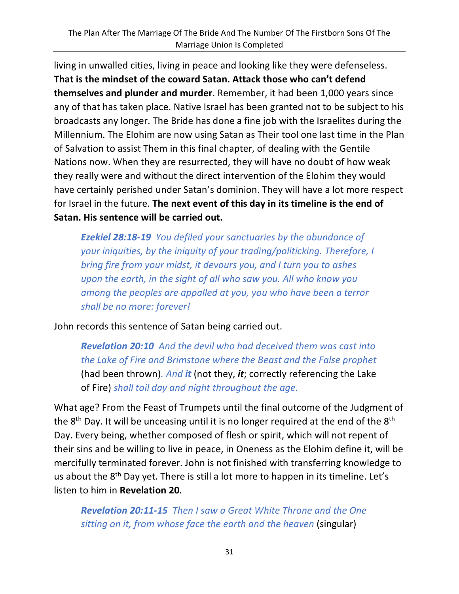living in unwalled cities, living in peace and looking like they were defenseless. **That is the mindset of the coward Satan. Attack those who can't defend themselves and plunder and murder**. Remember, it had been 1,000 years since any of that has taken place. Native Israel has been granted not to be subject to his broadcasts any longer. The Bride has done a fine job with the Israelites during the Millennium. The Elohim are now using Satan as Their tool one last time in the Plan of Salvation to assist Them in this final chapter, of dealing with the Gentile Nations now. When they are resurrected, they will have no doubt of how weak they really were and without the direct intervention of the Elohim they would have certainly perished under Satan's dominion. They will have a lot more respect for Israel in the future. **The next event of this day in its timeline is the end of Satan. His sentence will be carried out.** 

*Ezekiel 28:18-19 You defiled your sanctuaries by the abundance of your iniquities, by the iniquity of your trading/politicking. Therefore, I bring fire from your midst, it devours you, and I turn you to ashes upon the earth, in the sight of all who saw you. All who know you among the peoples are appalled at you, you who have been a terror shall be no more: forever!*

John records this sentence of Satan being carried out.

*Revelation 20:10 And the devil who had deceived them was cast into the Lake of Fire and Brimstone where the Beast and the False prophet*  (had been thrown)*. And it* (not they, *it*; correctly referencing the Lake of Fire) *shall toil day and night throughout the age.*

What age? From the Feast of Trumpets until the final outcome of the Judgment of the  $8<sup>th</sup>$  Day. It will be unceasing until it is no longer required at the end of the  $8<sup>th</sup>$ Day. Every being, whether composed of flesh or spirit, which will not repent of their sins and be willing to live in peace, in Oneness as the Elohim define it, will be mercifully terminated forever. John is not finished with transferring knowledge to us about the 8<sup>th</sup> Day yet. There is still a lot more to happen in its timeline. Let's listen to him in **Revelation 20**.

*Revelation 20:11-15 Then I saw a Great White Throne and the One sitting on it, from whose face the earth and the heaven (singular)*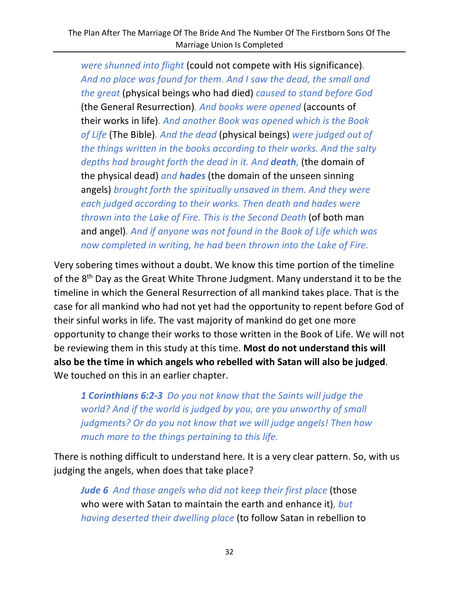*were shunned into flight* (could not compete with His significance)*. And no place was found for them. And I saw the dead, the small and the great* (physical beings who had died) *caused to stand before God*  (the General Resurrection)*. And books were opened* (accounts of their works in life)*. And another Book was opened which is the Book of Life* (The Bible)*. And the dead* (physical beings) *were judged out of the things written in the books according to their works. And the salty depths had brought forth the dead in it. And death,* (the domain of the physical dead) *and hades* (the domain of the unseen sinning angels) *brought forth the spiritually unsaved in them. And they were each judged according to their works. Then death and hades were thrown into the Lake of Fire. This is the Second Death* (of both man and angel)*. And if anyone was not found in the Book of Life which was now completed in writing, he had been thrown into the Lake of Fire.*

Very sobering times without a doubt. We know this time portion of the timeline of the 8<sup>th</sup> Day as the Great White Throne Judgment. Many understand it to be the timeline in which the General Resurrection of all mankind takes place. That is the case for all mankind who had not yet had the opportunity to repent before God of their sinful works in life. The vast majority of mankind do get one more opportunity to change their works to those written in the Book of Life. We will not be reviewing them in this study at this time. **Most do not understand this will also be the time in which angels who rebelled with Satan will also be judged**. We touched on this in an earlier chapter.

*1 Corinthians 6:2-3 Do you not know that the Saints will judge the world? And if the world is judged by you, are you unworthy of small judgments? Or do you not know that we will judge angels! Then how much more to the things pertaining to this life.*

There is nothing difficult to understand here. It is a very clear pattern. So, with us judging the angels, when does that take place?

*Jude 6 And those angels who did not keep their first place* (those who were with Satan to maintain the earth and enhance it)*, but having deserted their dwelling place* (to follow Satan in rebellion to